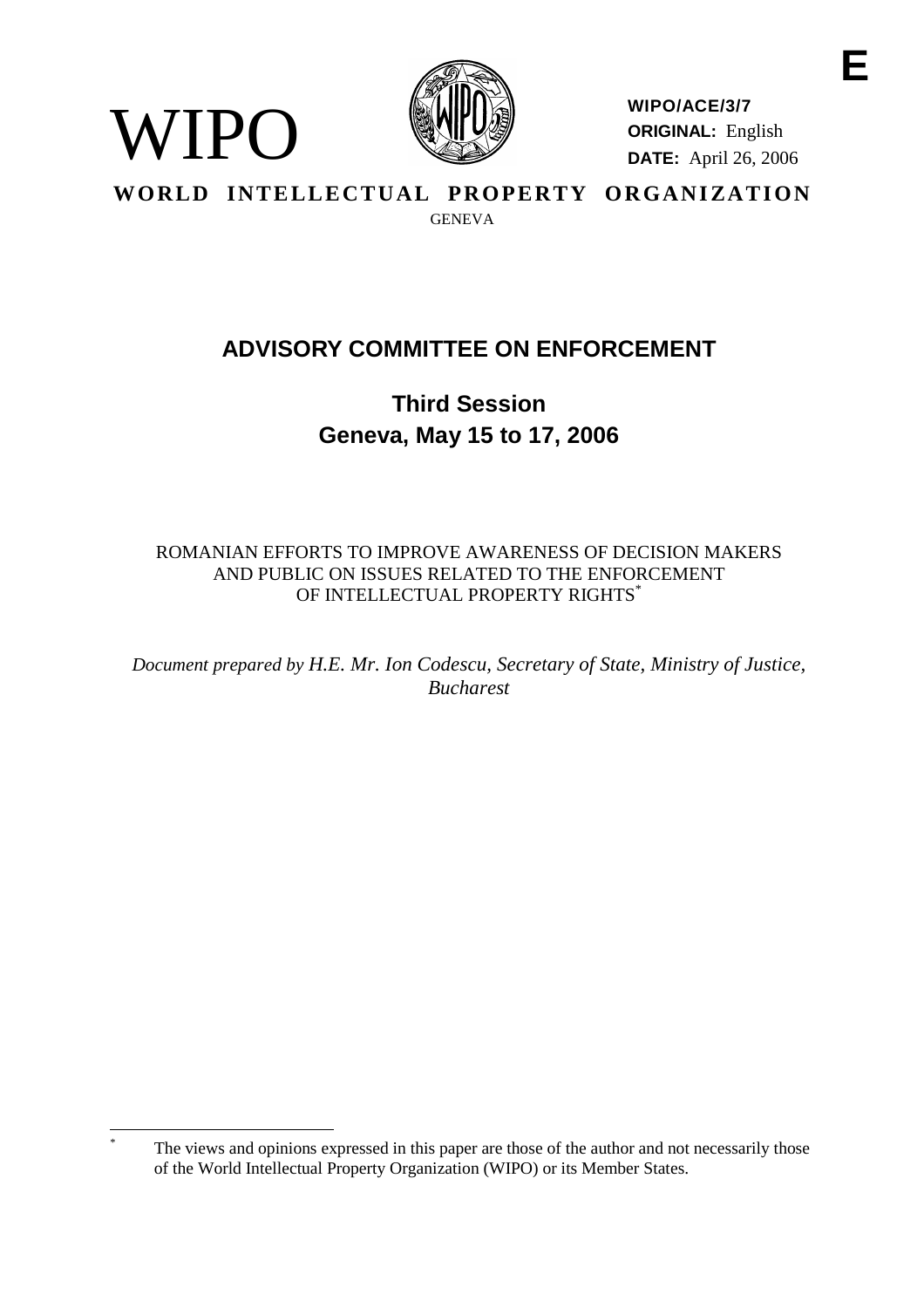

WIPO

**WIPO/ACE/3/7 ORIGINAL:** English **DATE:** April 26, 2006

WORLD INTELLECTUAL PROPERTY ORGANIZATION **GENEVA** 

# **ADVISORY COMMITTEE ON ENFORCEMENT**

**Third Session Geneva, May 15 to 17, 2006**

ROMANIAN EFFORTS TO IMPROVE AWARENESS OF DECISION MAKERS AND PUBLIC ON ISSUES RELATED TO THE ENFORCEMENT OF INTELLECTUAL PROPERTY RIGHTS<sup>\*</sup>

*Document prepared by H.E. Mr. Ion Codescu, Secretary of State, Ministry of Justice, Bucharest*

The views and opinions expressed in this paper are those of the author and not necessarily those of the World Intellectual Property Organization (WIPO) or its Member States.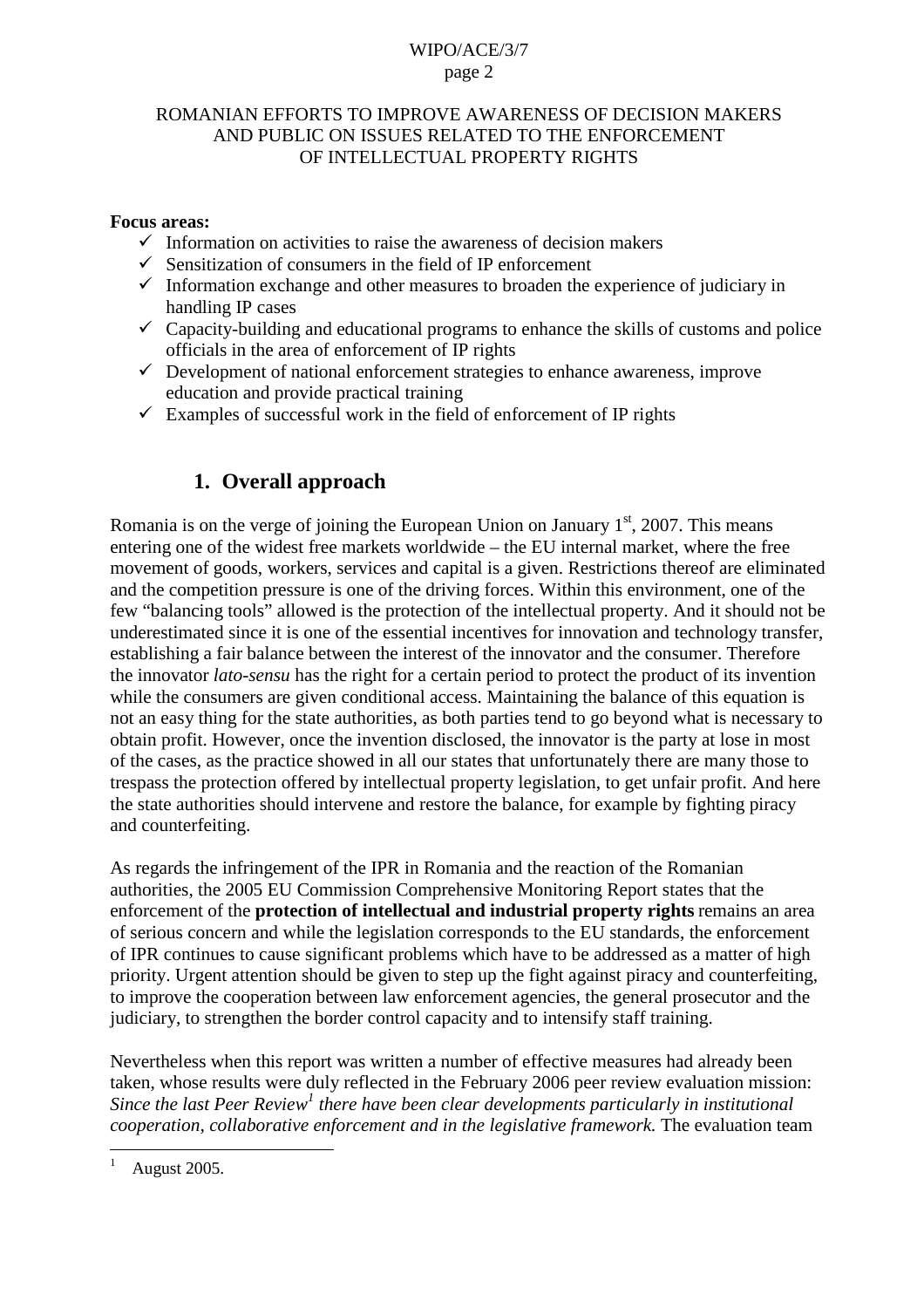#### ROMANIAN EFFORTS TO IMPROVE AWARENESS OF DECISION MAKERS AND PUBLIC ON ISSUES RELATED TO THE ENFORCEMENT OF INTELLECTUAL PROPERTY RIGHTS

#### **Focus areas:**

- $\checkmark$  Information on activities to raise the awareness of decision makers
- $\checkmark$  Sensitization of consumers in the field of IP enforcement
- $\checkmark$  Information exchange and other measures to broaden the experience of judiciary in handling IP cases
- $\checkmark$  Capacity-building and educational programs to enhance the skills of customs and police officials in the area of enforcement of IP rights
- $\checkmark$  Development of national enforcement strategies to enhance awareness, improve education and provide practical training
- $\checkmark$  Examples of successful work in the field of enforcement of IP rights

## **1. Overall approach**

Romania is on the verge of joining the European Union on January  $1<sup>st</sup>$ , 2007. This means entering one of the widest free markets worldwide – the EU internal market, where the free movement of goods, workers, services and capital is a given. Restrictions thereof are eliminated and the competition pressure is one of the driving forces. Within this environment, one of the few "balancing tools" allowed is the protection of the intellectual property. And it should not be underestimated since it is one of the essential incentives for innovation and technology transfer, establishing a fair balance between the interest of the innovator and the consumer. Therefore the innovator *lato-sensu* has the right for a certain period to protect the product of its invention while the consumers are given conditional access. Maintaining the balance of this equation is not an easy thing for the state authorities, as both parties tend to go beyond what is necessary to obtain profit. However, once the invention disclosed, the innovator is the party at lose in most of the cases, as the practice showed in all our states that unfortunately there are many those to trespass the protection offered by intellectual property legislation, to get unfair profit. And here the state authorities should intervene and restore the balance, for example by fighting piracy and counterfeiting.

As regards the infringement of the IPR in Romania and the reaction of the Romanian authorities, the 2005 EU Commission Comprehensive Monitoring Report states that the enforcement of the **protection of intellectual and industrial property rights** remains an area of serious concern and while the legislation corresponds to the EU standards, the enforcement of IPR continues to cause significant problems which have to be addressed as a matter of high priority. Urgent attention should be given to step up the fight against piracy and counterfeiting, to improve the cooperation between law enforcement agencies, the general prosecutor and the judiciary, to strengthen the border control capacity and to intensify staff training.

Nevertheless when this report was written a number of effective measures had already been taken, whose results were duly reflected in the February 2006 peer review evaluation mission: *Since the last Peer Review<sup>1</sup> there have been clear developments particularly in institutional cooperation, collaborative enforcement and in the legislative framework.* The evaluation team

<sup>1</sup> August 2005.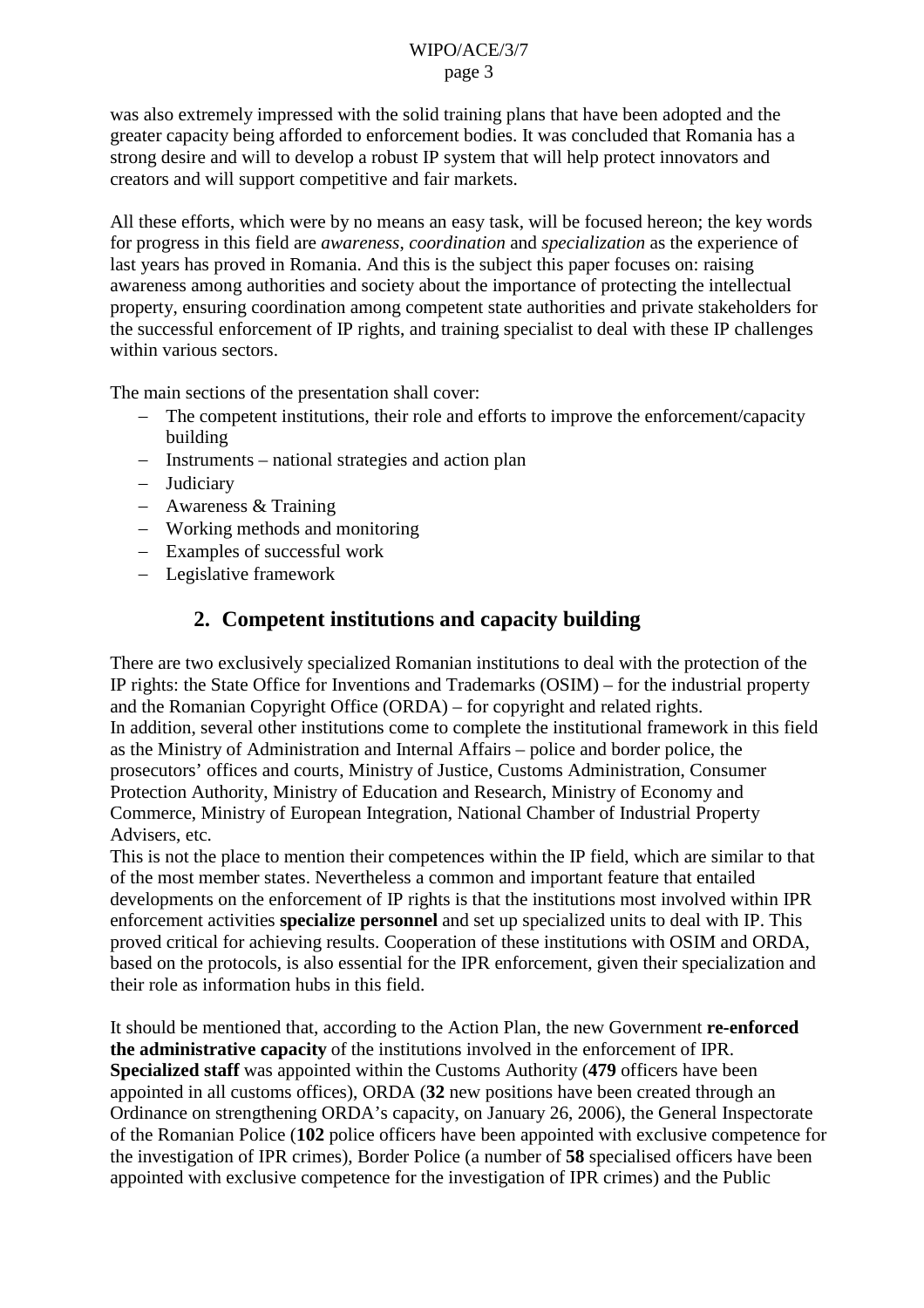was also extremely impressed with the solid training plans that have been adopted and the greater capacity being afforded to enforcement bodies. It was concluded that Romania has a strong desire and will to develop a robust IP system that will help protect innovators and creators and will support competitive and fair markets.

All these efforts, which were by no means an easy task, will be focused hereon; the key words for progress in this field are *awareness*, *coordination* and *specialization* as the experience of last years has proved in Romania. And this is the subject this paper focuses on: raising awareness among authorities and society about the importance of protecting the intellectual property, ensuring coordination among competent state authorities and private stakeholders for the successful enforcement of IP rights, and training specialist to deal with these IP challenges within various sectors.

The main sections of the presentation shall cover:

- The competent institutions, their role and efforts to improve the enforcement/capacity building
- Instruments national strategies and action plan
- Judiciary
- Awareness & Training
- Working methods and monitoring
- Examples of successful work
- Legislative framework

### **2. Competent institutions and capacity building**

There are two exclusively specialized Romanian institutions to deal with the protection of the IP rights: the State Office for Inventions and Trademarks (OSIM) – for the industrial property and the Romanian Copyright Office (ORDA) – for copyright and related rights. In addition, several other institutions come to complete the institutional framework in this field as the Ministry of Administration and Internal Affairs – police and border police, the prosecutors' offices and courts, Ministry of Justice, Customs Administration, Consumer Protection Authority, Ministry of Education and Research, Ministry of Economy and Commerce, Ministry of European Integration, National Chamber of Industrial Property Advisers, etc.

This is not the place to mention their competences within the IP field, which are similar to that of the most member states. Nevertheless a common and important feature that entailed developments on the enforcement of IP rights is that the institutions most involved within IPR enforcement activities **specialize personnel** and set up specialized units to deal with IP. This proved critical for achieving results. Cooperation of these institutions with OSIM and ORDA, based on the protocols, is also essential for the IPR enforcement, given their specialization and their role as information hubs in this field.

It should be mentioned that, according to the Action Plan, the new Government **re-enforced the administrative capacity** of the institutions involved in the enforcement of IPR. **Specialized staff** was appointed within the Customs Authority (**479** officers have been appointed in all customs offices), ORDA (**32** new positions have been created through an Ordinance on strengthening ORDA's capacity, on January 26, 2006), the General Inspectorate of the Romanian Police (**102** police officers have been appointed with exclusive competence for the investigation of IPR crimes), Border Police (a number of **58** specialised officers have been appointed with exclusive competence for the investigation of IPR crimes) and the Public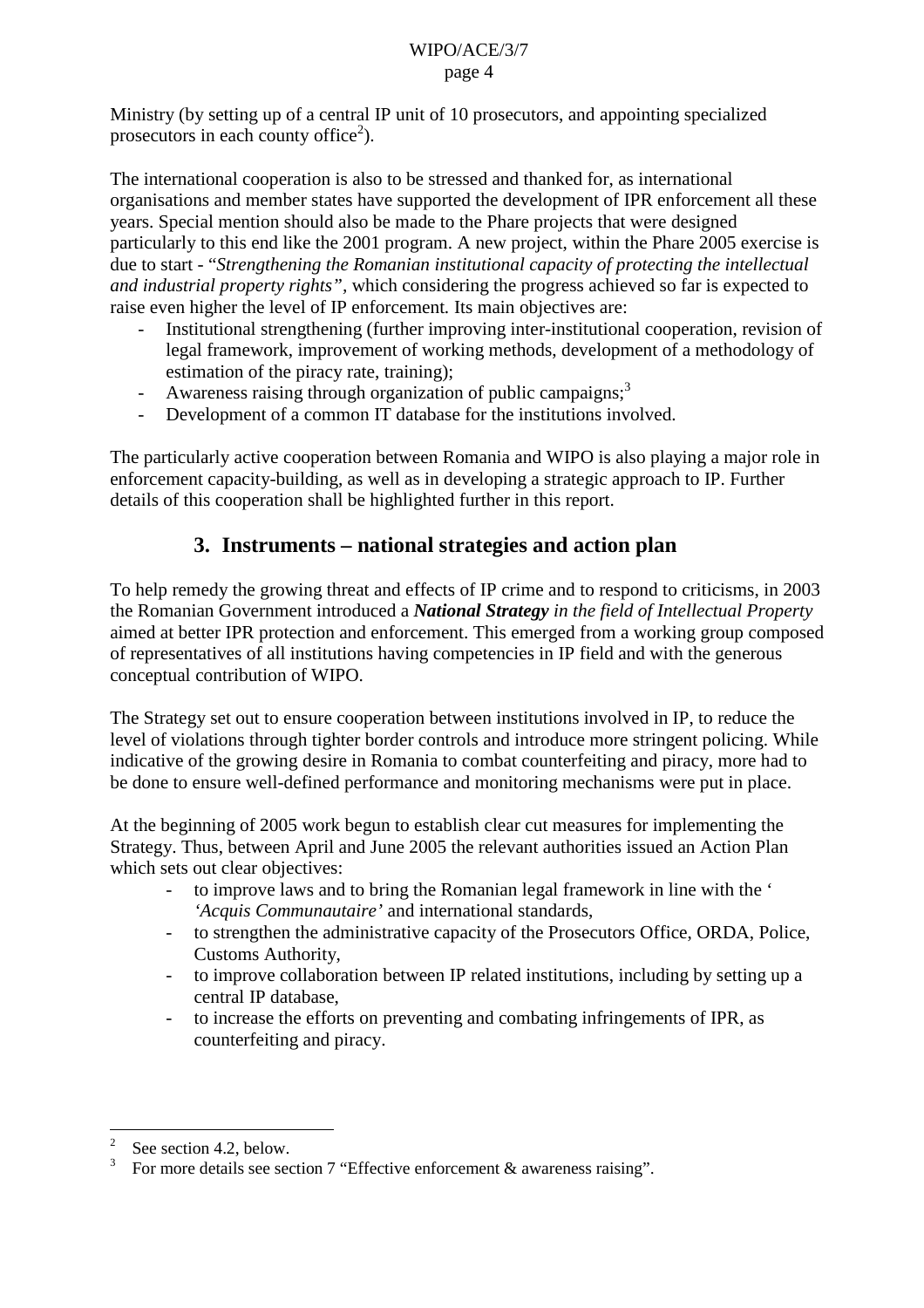Ministry (by setting up of a central IP unit of 10 prosecutors, and appointing specialized prosecutors in each county office<sup>2</sup>).

The international cooperation is also to be stressed and thanked for, as international organisations and member states have supported the development of IPR enforcement all these years. Special mention should also be made to the Phare projects that were designed particularly to this end like the 2001 program. A new project, within the Phare 2005 exercise is due to start - "*Strengthening the Romanian institutional capacity of protecting the intellectual and industrial property rights",* which considering the progress achieved so far is expected to raise even higher the level of IP enforcement*.* Its main objectives are:

- Institutional strengthening (further improving inter-institutional cooperation, revision of legal framework, improvement of working methods, development of a methodology of estimation of the piracy rate, training);
- Awareness raising through organization of public campaigns;<sup>3</sup>
- Development of a common IT database for the institutions involved.

The particularly active cooperation between Romania and WIPO is also playing a major role in enforcement capacity-building, as well as in developing a strategic approach to IP. Further details of this cooperation shall be highlighted further in this report.

## **3. Instruments – national strategies and action plan**

To help remedy the growing threat and effects of IP crime and to respond to criticisms, in 2003 the Romanian Government introduced a *National Strategy in the field of Intellectual Property* aimed at better IPR protection and enforcement. This emerged from a working group composed of representatives of all institutions having competencies in IP field and with the generous conceptual contribution of WIPO.

The Strategy set out to ensure cooperation between institutions involved in IP, to reduce the level of violations through tighter border controls and introduce more stringent policing. While indicative of the growing desire in Romania to combat counterfeiting and piracy, more had to be done to ensure well-defined performance and monitoring mechanisms were put in place.

At the beginning of 2005 work begun to establish clear cut measures for implementing the Strategy. Thus, between April and June 2005 the relevant authorities issued an Action Plan which sets out clear objectives:

- to improve laws and to bring the Romanian legal framework in line with the ' *'Acquis Communautaire'* and international standards,
- to strengthen the administrative capacity of the Prosecutors Office, ORDA, Police, Customs Authority,
- to improve collaboration between IP related institutions, including by setting up a central IP database,
- to increase the efforts on preventing and combating infringements of IPR, as counterfeiting and piracy.

 $\frac{2}{3}$  See section 4.2, below.

For more details see section 7 "Effective enforcement & awareness raising".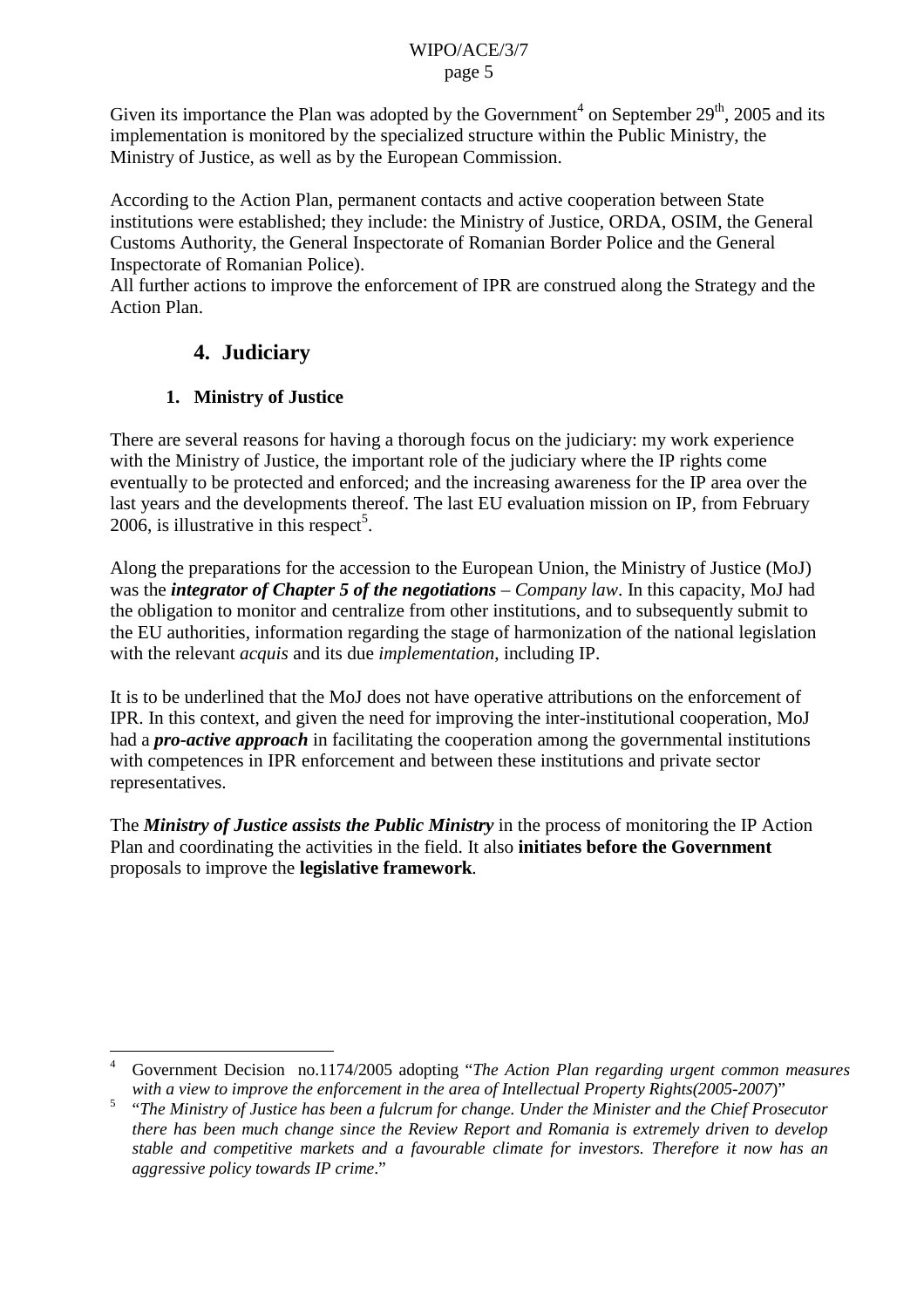Given its importance the Plan was adopted by the Government<sup>4</sup> on September  $29<sup>th</sup>$ , 2005 and its implementation is monitored by the specialized structure within the Public Ministry, the Ministry of Justice, as well as by the European Commission.

According to the Action Plan, permanent contacts and active cooperation between State institutions were established; they include: the Ministry of Justice, ORDA, OSIM, the General Customs Authority, the General Inspectorate of Romanian Border Police and the General Inspectorate of Romanian Police).

All further actions to improve the enforcement of IPR are construed along the Strategy and the Action Plan.

## **4. Judiciary**

### **1. Ministry of Justice**

There are several reasons for having a thorough focus on the judiciary: my work experience with the Ministry of Justice, the important role of the judiciary where the IP rights come eventually to be protected and enforced; and the increasing awareness for the IP area over the last years and the developments thereof. The last EU evaluation mission on IP, from February 2006, is illustrative in this respect<sup>5</sup>.

Along the preparations for the accession to the European Union, the Ministry of Justice (MoJ) was the *integrator of Chapter 5 of the negotiations* – *Company law*. In this capacity, MoJ had the obligation to monitor and centralize from other institutions, and to subsequently submit to the EU authorities, information regarding the stage of harmonization of the national legislation with the relevant *acquis* and its due *implementation*, including IP.

It is to be underlined that the MoJ does not have operative attributions on the enforcement of IPR. In this context, and given the need for improving the inter-institutional cooperation, MoJ had a *pro-active approach* in facilitating the cooperation among the governmental institutions with competences in IPR enforcement and between these institutions and private sector representatives.

The *Ministry of Justice assists the Public Ministry* in the process of monitoring the IP Action Plan and coordinating the activities in the field. It also **initiates before the Government** proposals to improve the **legislative framework**.

<sup>4</sup> Government Decision no.1174/2005 adopting "*The Action Plan regarding urgent common measures with a view to improve the enforcement in the area of Intellectual Property Rights(2005-2007*)"

<sup>5</sup> "*The Ministry of Justice has been a fulcrum for change. Under the Minister and the Chief Prosecutor there has been much change since the Review Report and Romania is extremely driven to develop stable and competitive markets and a favourable climate for investors. Therefore it now has an aggressive policy towards IP crime*."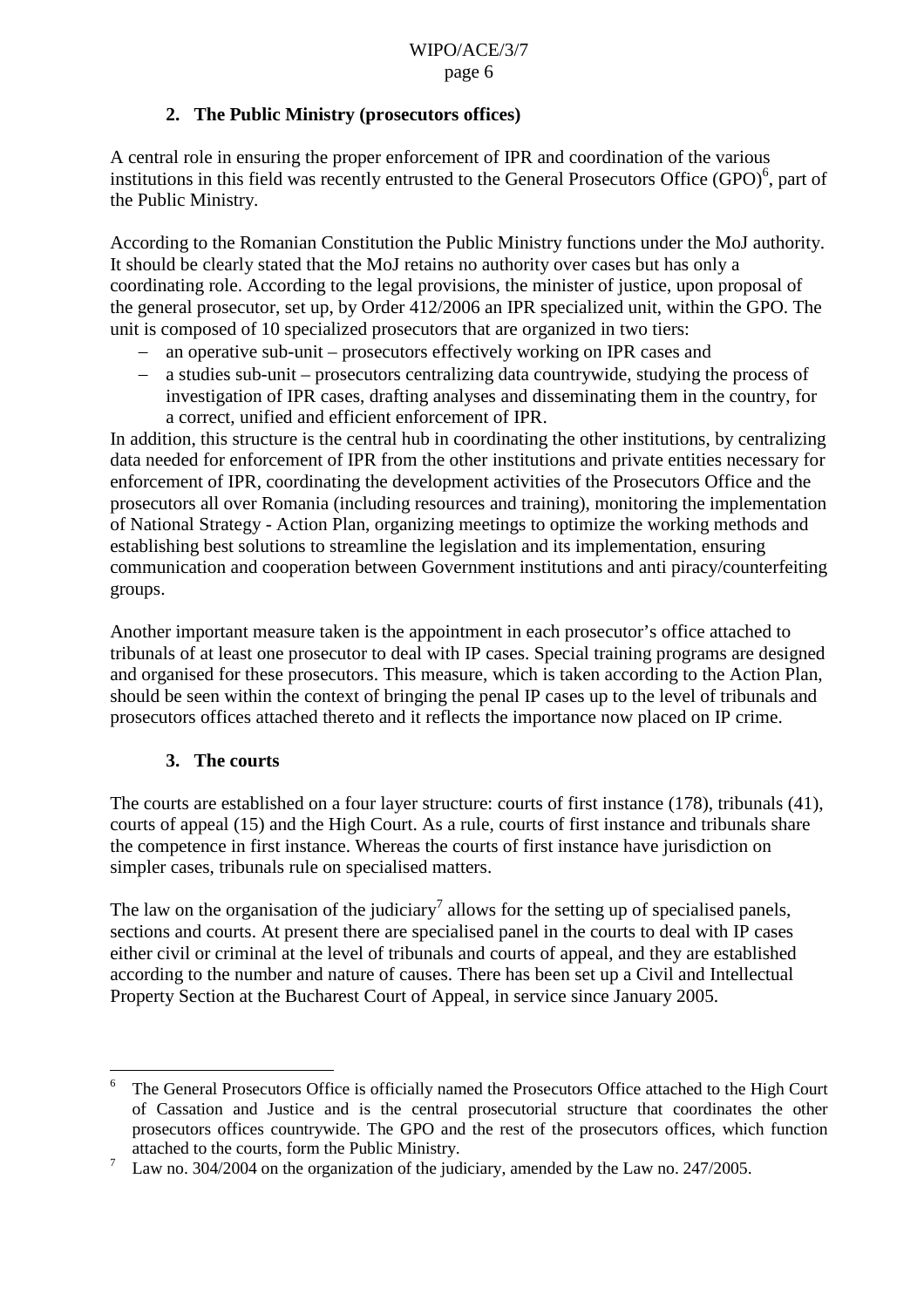#### **2. The Public Ministry (prosecutors offices)**

A central role in ensuring the proper enforcement of IPR and coordination of the various institutions in this field was recently entrusted to the General Prosecutors Office  $(GPO)^6$ , part of the Public Ministry.

According to the Romanian Constitution the Public Ministry functions under the MoJ authority. It should be clearly stated that the MoJ retains no authority over cases but has only a coordinating role. According to the legal provisions, the minister of justice, upon proposal of the general prosecutor, set up, by Order 412/2006 an IPR specialized unit, within the GPO. The unit is composed of 10 specialized prosecutors that are organized in two tiers:

- an operative sub-unit prosecutors effectively working on IPR cases and
- a studies sub-unit prosecutors centralizing data countrywide, studying the process of investigation of IPR cases, drafting analyses and disseminating them in the country, for a correct, unified and efficient enforcement of IPR.

In addition, this structure is the central hub in coordinating the other institutions, by centralizing data needed for enforcement of IPR from the other institutions and private entities necessary for enforcement of IPR, coordinating the development activities of the Prosecutors Office and the prosecutors all over Romania (including resources and training), monitoring the implementation of National Strategy - Action Plan, organizing meetings to optimize the working methods and establishing best solutions to streamline the legislation and its implementation, ensuring communication and cooperation between Government institutions and anti piracy/counterfeiting groups.

Another important measure taken is the appointment in each prosecutor's office attached to tribunals of at least one prosecutor to deal with IP cases. Special training programs are designed and organised for these prosecutors. This measure, which is taken according to the Action Plan, should be seen within the context of bringing the penal IP cases up to the level of tribunals and prosecutors offices attached thereto and it reflects the importance now placed on IP crime.

### **3. The courts**

The courts are established on a four layer structure: courts of first instance (178), tribunals (41), courts of appeal (15) and the High Court. As a rule, courts of first instance and tribunals share the competence in first instance. Whereas the courts of first instance have jurisdiction on simpler cases, tribunals rule on specialised matters.

The law on the organisation of the judiciary<sup>7</sup> allows for the setting up of specialised panels, sections and courts. At present there are specialised panel in the courts to deal with IP cases either civil or criminal at the level of tribunals and courts of appeal, and they are established according to the number and nature of causes. There has been set up a Civil and Intellectual Property Section at the Bucharest Court of Appeal, in service since January 2005.

<sup>6</sup> The General Prosecutors Office is officially named the Prosecutors Office attached to the High Court of Cassation and Justice and is the central prosecutorial structure that coordinates the other prosecutors offices countrywide. The GPO and the rest of the prosecutors offices, which function attached to the courts, form the Public Ministry.

 $\frac{7}{1}$  Law no. 304/2004 on the organization of the judiciary, amended by the Law no. 247/2005.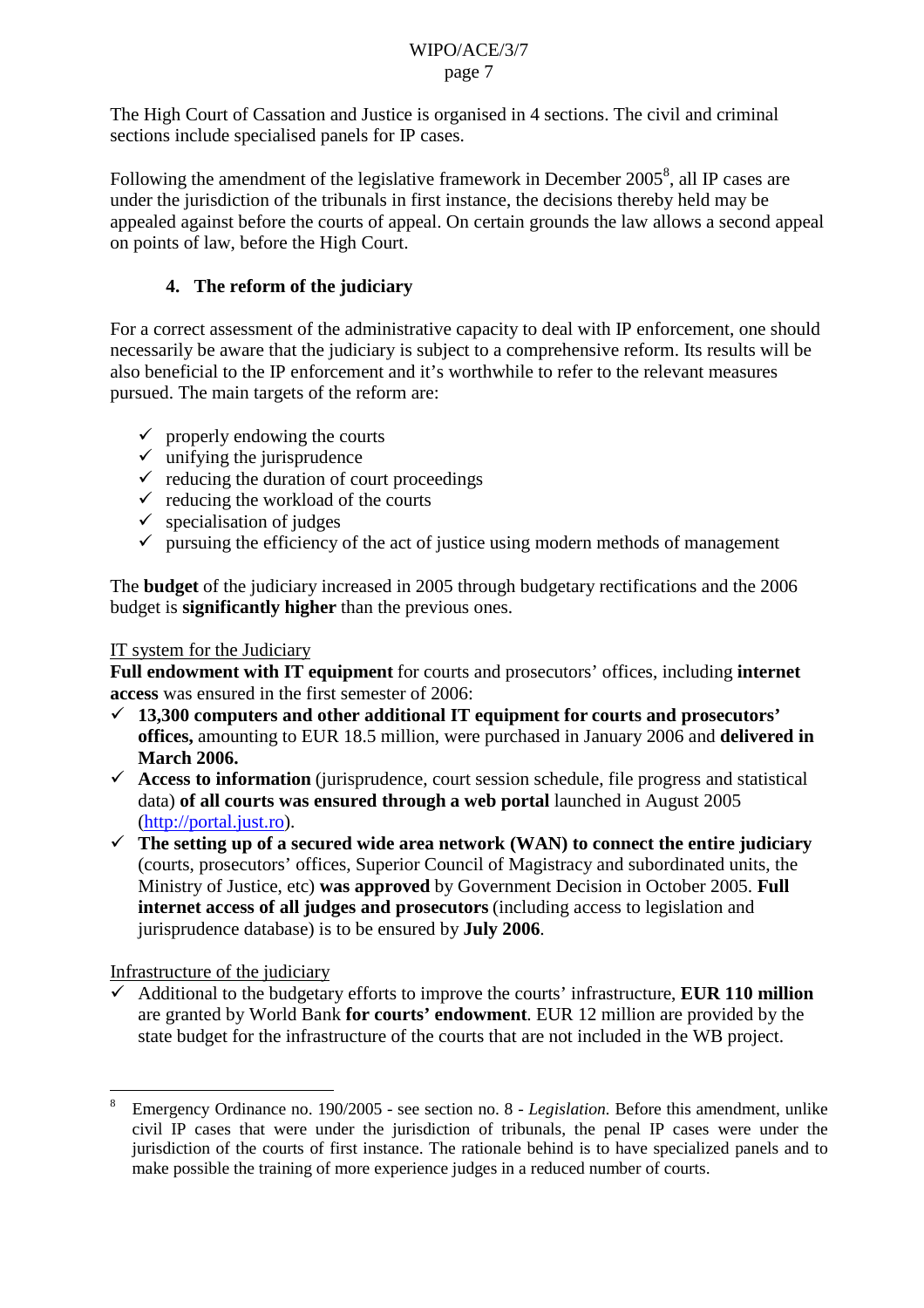The High Court of Cassation and Justice is organised in 4 sections. The civil and criminal sections include specialised panels for IP cases.

Following the amendment of the legislative framework in December  $2005^8$ , all IP cases are under the jurisdiction of the tribunals in first instance, the decisions thereby held may be appealed against before the courts of appeal. On certain grounds the law allows a second appeal on points of law, before the High Court.

### **4. The reform of the judiciary**

For a correct assessment of the administrative capacity to deal with IP enforcement, one should necessarily be aware that the judiciary is subject to a comprehensive reform. Its results will be also beneficial to the IP enforcement and it's worthwhile to refer to the relevant measures pursued. The main targets of the reform are:

- $\checkmark$  properly endowing the courts
- $\checkmark$  unifying the jurisprudence
- $\checkmark$  reducing the duration of court proceedings
- $\checkmark$  reducing the workload of the courts
- $\checkmark$  specialisation of judges
- $\checkmark$  pursuing the efficiency of the act of justice using modern methods of management

The **budget** of the judiciary increased in 2005 through budgetary rectifications and the 2006 budget is **significantly higher** than the previous ones.

#### IT system for the Judiciary

**Full endowment with IT equipment** for courts and prosecutors' offices, including **internet access** was ensured in the first semester of 2006:

- **13,300 computers and other additional IT equipment for courts and prosecutors' offices,** amounting to EUR 18.5 million, were purchased in January 2006 and **delivered in March 2006.**
- $\checkmark$  Access to information (jurisprudence, court session schedule, file progress and statistical data) **of all courts was ensured through a web portal** launched in August 2005 ([http://portal.just.ro\)](http://portal.just.ro/).
- $\checkmark$  The setting up of a secured wide area network (WAN) to connect the entire judiciary (courts, prosecutors' offices, Superior Council of Magistracy and subordinated units, the Ministry of Justice, etc) **was approved** by Government Decision in October 2005. **Full internet access of all judges and prosecutors** (including access to legislation and jurisprudence database) is to be ensured by **July 2006**.

Infrastructure of the judiciary

 Additional to the budgetary efforts to improve the courts' infrastructure, **EUR 110 million**  are granted by World Bank **for courts' endowment**. EUR 12 million are provided by the state budget for the infrastructure of the courts that are not included in the WB project.

<sup>8</sup> Emergency Ordinance no. 190/2005 - see section no. 8 - *Legislation.* Before this amendment, unlike civil IP cases that were under the jurisdiction of tribunals, the penal IP cases were under the jurisdiction of the courts of first instance. The rationale behind is to have specialized panels and to make possible the training of more experience judges in a reduced number of courts.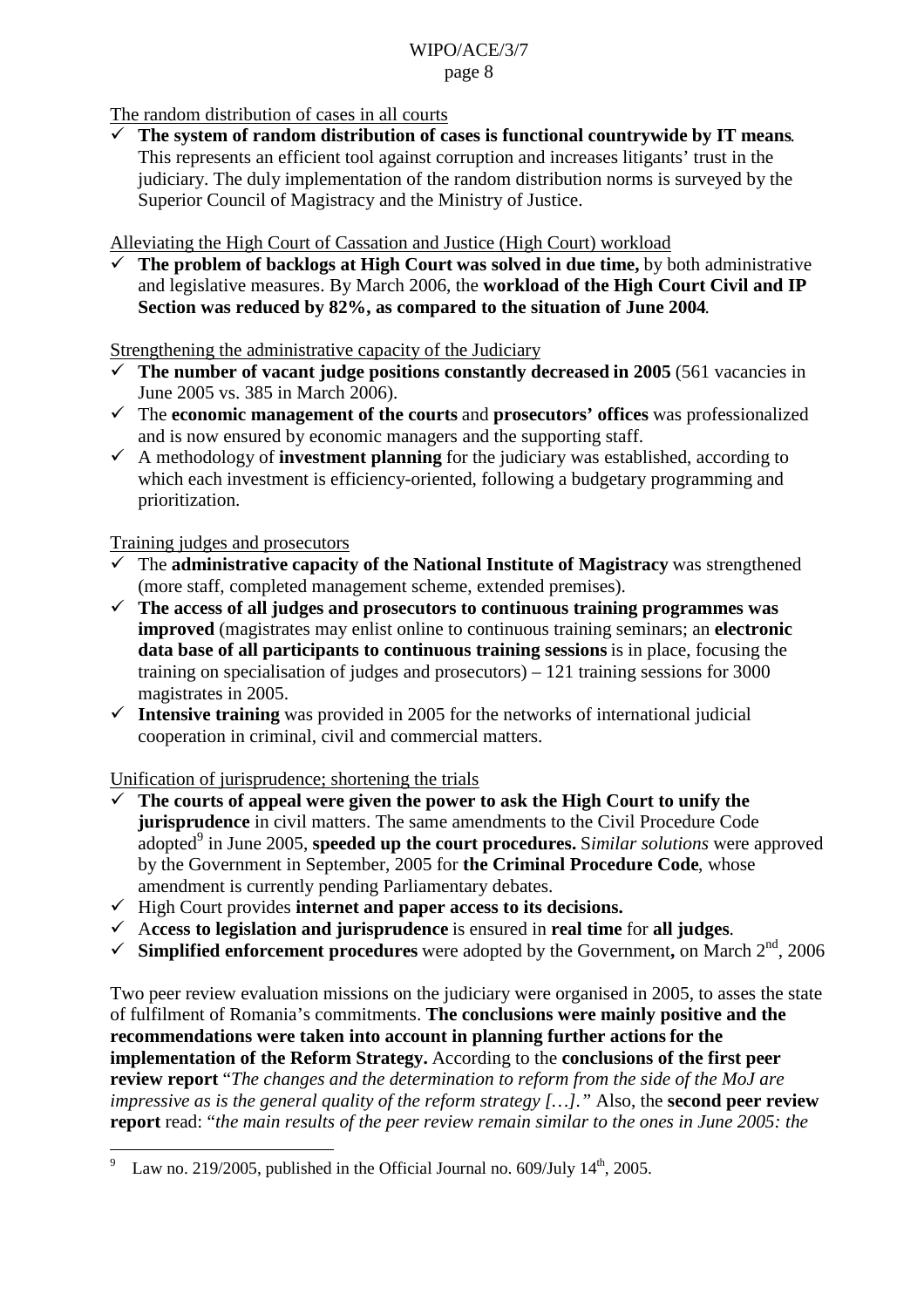The random distribution of cases in all courts

 **The system of random distribution of cases is functional countrywide by IT means**. This represents an efficient tool against corruption and increases litigants' trust in the judiciary. The duly implementation of the random distribution norms is surveyed by the Superior Council of Magistracy and the Ministry of Justice.

Alleviating the High Court of Cassation and Justice (High Court) workload

 **The problem of backlogs at High Court was solved in due time,** by both administrative and legislative measures. By March 2006, the **workload of the High Court Civil and IP Section was reduced by 82%, as compared to the situation of June 2004**.

Strengthening the administrative capacity of the Judiciary

- $\checkmark$  The number of vacant judge positions constantly decreased in 2005 (561 vacancies in June 2005 vs. 385 in March 2006).
- The **economic management of the courts** and **prosecutors' offices** was professionalized and is now ensured by economic managers and the supporting staff.
- $\checkmark$  A methodology of **investment planning** for the judiciary was established, according to which each investment is efficiency-oriented, following a budgetary programming and prioritization.

Training judges and prosecutors

- The **administrative capacity of the National Institute of Magistracy** was strengthened (more staff, completed management scheme, extended premises).
- **The access of all judges and prosecutors to continuous training programmes was improved** (magistrates may enlist online to continuous training seminars; an **electronic data base of all participants to continuous training sessions** is in place, focusing the training on specialisation of judges and prosecutors) – 121 training sessions for 3000 magistrates in 2005.
- $\checkmark$  Intensive training was provided in 2005 for the networks of international judicial cooperation in criminal, civil and commercial matters.

Unification of jurisprudence; shortening the trials

- **The courts of appeal were given the power to ask the High Court to unify the jurisprudence** in civil matters. The same amendments to the Civil Procedure Code adopted<sup>9</sup> in June 2005, **speeded up the court procedures.** Similar solutions were approved by the Government in September, 2005 for **the Criminal Procedure Code**, whose amendment is currently pending Parliamentary debates.
- $\checkmark$  High Court provides **internet and paper access to its decisions.**
- A**ccess to legislation and jurisprudence** is ensured in **real time** for **all judges**.
- $\checkmark$  Simplified enforcement procedures were adopted by the Government, on March  $2^{nd}$ , 2006

Two peer review evaluation missions on the judiciary were organised in 2005, to asses the state of fulfilment of Romania's commitments. **The conclusions were mainly positive and the recommendations were taken into account in planning further actions for the implementation of the Reform Strategy.** According to the **conclusions of the first peer review report** "*The changes and the determination to reform from the side of the MoJ are impressive as is the general quality of the reform strategy […]."* Also, the **second peer review report** read: "*the main results of the peer review remain similar to the ones in June 2005: the* 

Law no. 219/2005, published in the Official Journal no.  $609$ /July  $14<sup>th</sup>$ , 2005.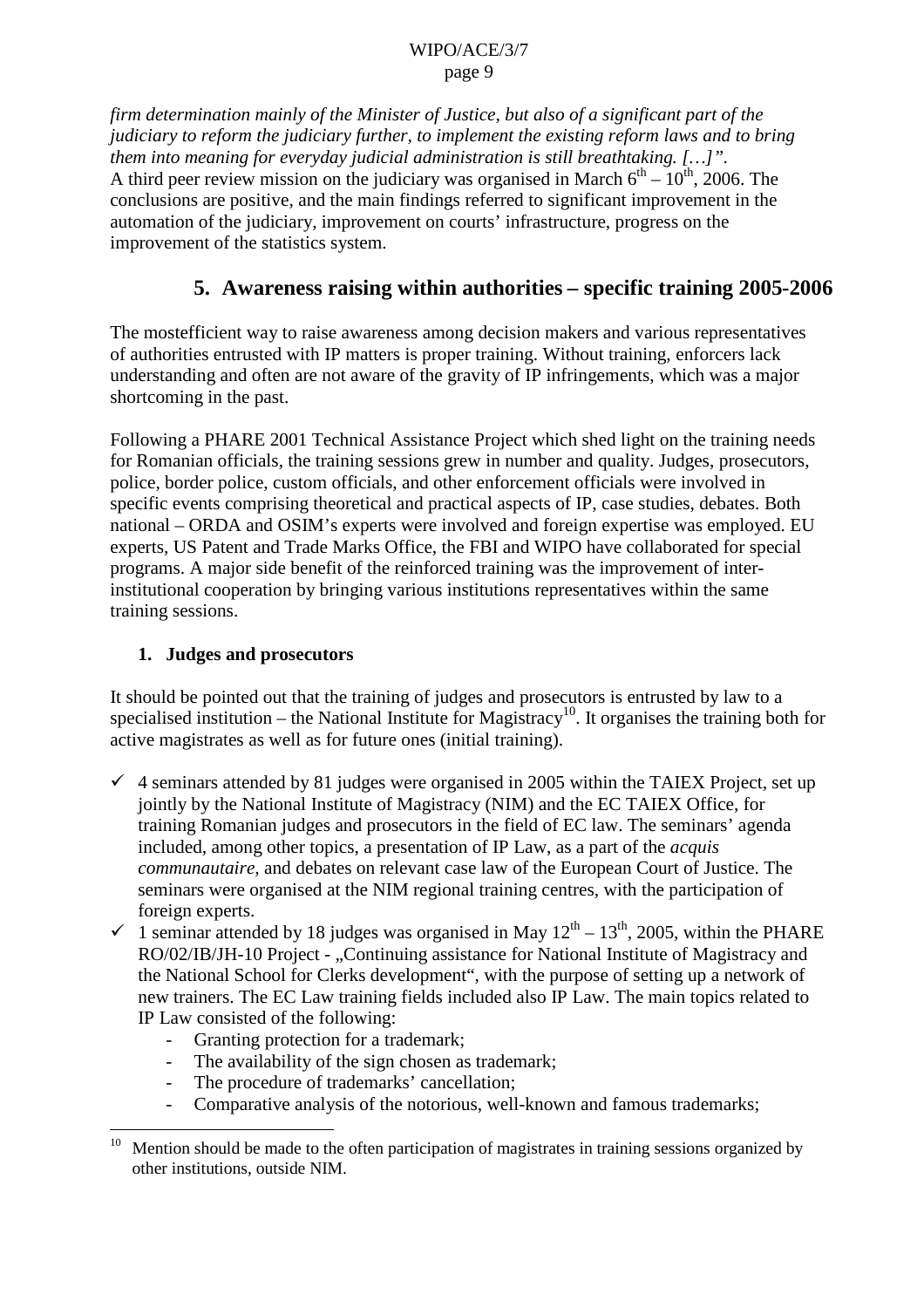*firm determination mainly of the Minister of Justice, but also of a significant part of the judiciary to reform the judiciary further, to implement the existing reform laws and to bring them into meaning for everyday judicial administration is still breathtaking. […]".* A third peer review mission on the judiciary was organised in March  $6<sup>th</sup> - 10<sup>th</sup>$ , 2006. The conclusions are positive, and the main findings referred to significant improvement in the automation of the judiciary, improvement on courts' infrastructure, progress on the improvement of the statistics system.

## **5. Awareness raising within authorities – specific training 2005-2006**

The mostefficient way to raise awareness among decision makers and various representatives of authorities entrusted with IP matters is proper training. Without training, enforcers lack understanding and often are not aware of the gravity of IP infringements, which was a major shortcoming in the past.

Following a PHARE 2001 Technical Assistance Project which shed light on the training needs for Romanian officials, the training sessions grew in number and quality. Judges, prosecutors, police, border police, custom officials, and other enforcement officials were involved in specific events comprising theoretical and practical aspects of IP, case studies, debates. Both national – ORDA and OSIM's experts were involved and foreign expertise was employed. EU experts, US Patent and Trade Marks Office, the FBI and WIPO have collaborated for special programs. A major side benefit of the reinforced training was the improvement of interinstitutional cooperation by bringing various institutions representatives within the same training sessions.

#### **1. Judges and prosecutors**

It should be pointed out that the training of judges and prosecutors is entrusted by law to a specialised institution – the National Institute for Magistracy<sup>10</sup>. It organises the training both for active magistrates as well as for future ones (initial training).

- $\checkmark$  4 seminars attended by 81 judges were organised in 2005 within the TAIEX Project, set up jointly by the National Institute of Magistracy (NIM) and the EC TAIEX Office, for training Romanian judges and prosecutors in the field of EC law. The seminars' agenda included, among other topics, a presentation of IP Law, as a part of the *acquis communautaire,* and debates on relevant case law of the European Court of Justice. The seminars were organised at the NIM regional training centres, with the participation of foreign experts.
- $\checkmark$  1 seminar attended by 18 judges was organised in May 12<sup>th</sup> 13<sup>th</sup>, 2005, within the PHARE RO/02/IB/JH-10 Project - "Continuing assistance for National Institute of Magistracy and the National School for Clerks development", with the purpose of setting up a network of new trainers. The EC Law training fields included also IP Law. The main topics related to IP Law consisted of the following:
	- Granting protection for a trademark;
	- The availability of the sign chosen as trademark;
	- The procedure of trademarks' cancellation;
	- Comparative analysis of the notorious, well-known and famous trademarks;

<sup>&</sup>lt;sup>10</sup> Mention should be made to the often participation of magistrates in training sessions organized by other institutions, outside NIM.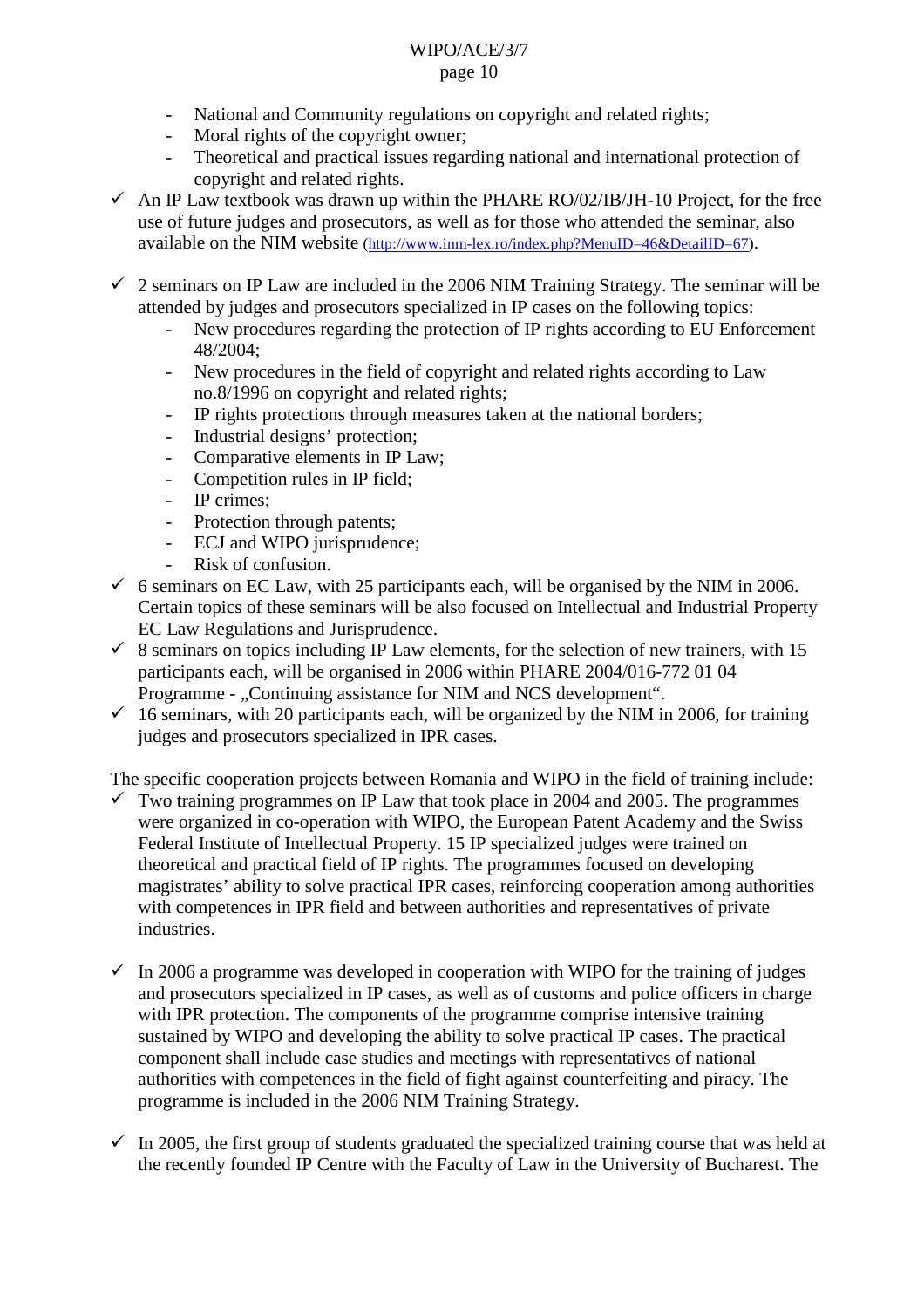- National and Community regulations on copyright and related rights;
- Moral rights of the copyright owner;
- Theoretical and practical issues regarding national and international protection of copyright and related rights.
- $\sim$  An IP Law textbook was drawn up within the PHARE RO/02/IB/JH-10 Project, for the free use of future judges and prosecutors, as well as for those who attended the seminar, also available on the NIM website ([http://www.inm-lex.ro/index.php?MenuID=46&DetailID=67\)](http://www.inm-lex.ro/index.php?MenuID=46&DetailID=67).
- $\checkmark$  2 seminars on IP Law are included in the 2006 NIM Training Strategy. The seminar will be attended by judges and prosecutors specialized in IP cases on the following topics:
	- New procedures regarding the protection of IP rights according to EU Enforcement 48/2004;
	- New procedures in the field of copyright and related rights according to Law no.8/1996 on copyright and related rights;
	- IP rights protections through measures taken at the national borders;
	- Industrial designs' protection;
	- Comparative elements in IP Law;
	- Competition rules in IP field;
	- IP crimes;
	- Protection through patents;
	- ECJ and WIPO jurisprudence;
	- Risk of confusion.
- $6$  seminars on EC Law, with 25 participants each, will be organised by the NIM in 2006. Certain topics of these seminars will be also focused on Intellectual and Industrial Property EC Law Regulations and Jurisprudence.
- $\checkmark$  8 seminars on topics including IP Law elements, for the selection of new trainers, with 15 participants each, will be organised in 2006 within PHARE 2004/016-772 01 04 Programme - "Continuing assistance for NIM and NCS development".
- $\checkmark$  16 seminars, with 20 participants each, will be organized by the NIM in 2006, for training judges and prosecutors specialized in IPR cases.

The specific cooperation projects between Romania and WIPO in the field of training include:

- Two training programmes on IP Law that took place in 2004 and 2005. The programmes were organized in co-operation with WIPO, the European Patent Academy and the Swiss Federal Institute of Intellectual Property. 15 IP specialized judges were trained on theoretical and practical field of IP rights. The programmes focused on developing magistrates' ability to solve practical IPR cases, reinforcing cooperation among authorities with competences in IPR field and between authorities and representatives of private industries.
- $\checkmark$  In 2006 a programme was developed in cooperation with WIPO for the training of judges and prosecutors specialized in IP cases, as well as of customs and police officers in charge with IPR protection. The components of the programme comprise intensive training sustained by WIPO and developing the ability to solve practical IP cases. The practical component shall include case studies and meetings with representatives of national authorities with competences in the field of fight against counterfeiting and piracy. The programme is included in the 2006 NIM Training Strategy.
- $\checkmark$  In 2005, the first group of students graduated the specialized training course that was held at the recently founded IP Centre with the Faculty of Law in the University of Bucharest. The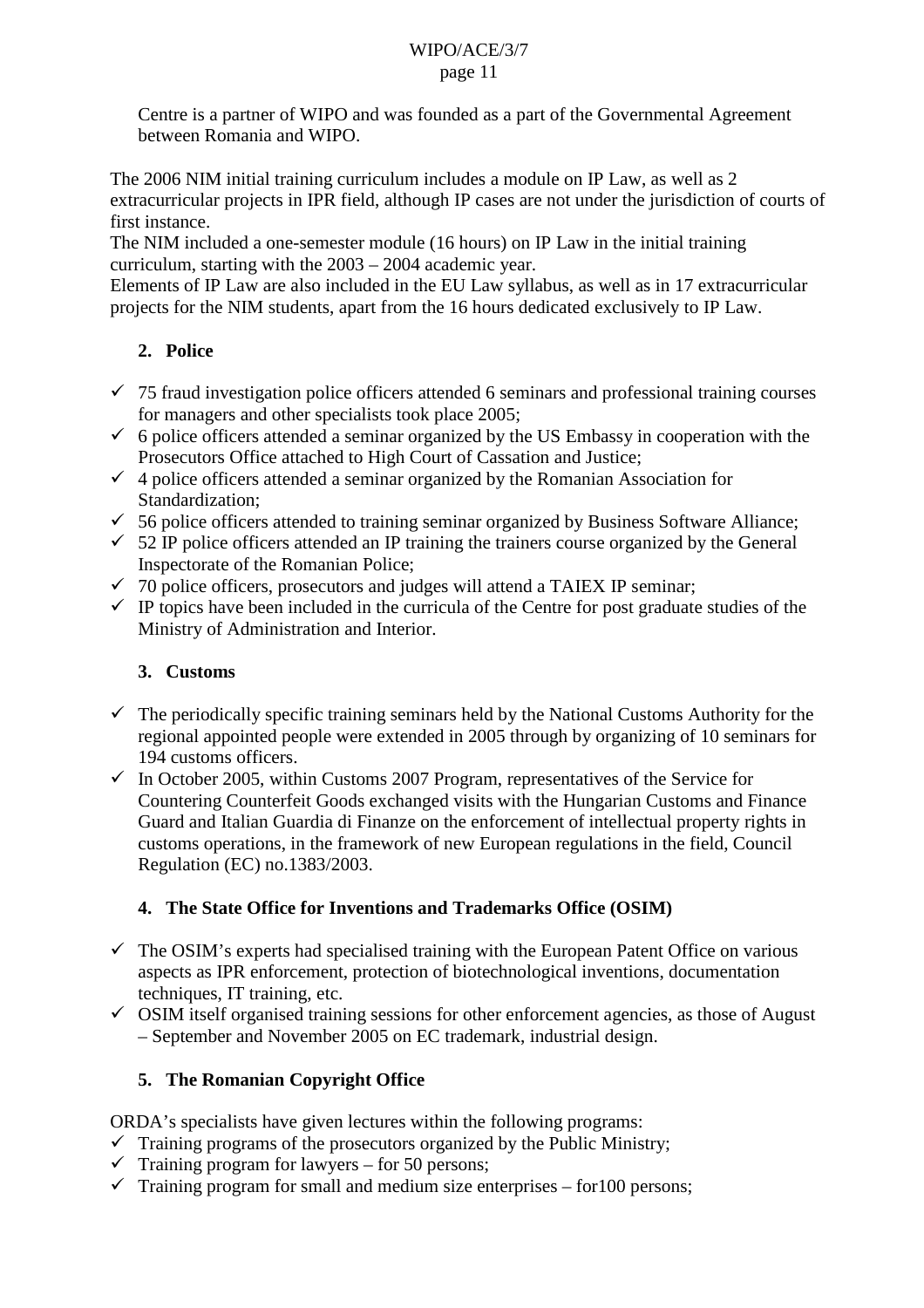Centre is a partner of WIPO and was founded as a part of the Governmental Agreement between Romania and WIPO.

The 2006 NIM initial training curriculum includes a module on IP Law, as well as 2 extracurricular projects in IPR field, although IP cases are not under the jurisdiction of courts of first instance.

The NIM included a one-semester module (16 hours) on IP Law in the initial training curriculum, starting with the 2003 – 2004 academic year.

Elements of IP Law are also included in the EU Law syllabus, as well as in 17 extracurricular projects for the NIM students, apart from the 16 hours dedicated exclusively to IP Law.

### **2. Police**

- $\checkmark$  75 fraud investigation police officers attended 6 seminars and professional training courses for managers and other specialists took place 2005;
- $6$  police officers attended a seminar organized by the US Embassy in cooperation with the Prosecutors Office attached to High Court of Cassation and Justice;
- $\checkmark$  4 police officers attended a seminar organized by the Romanian Association for Standardization;
- $\checkmark$  56 police officers attended to training seminar organized by Business Software Alliance;
- $\checkmark$  52 IP police officers attended an IP training the trainers course organized by the General Inspectorate of the Romanian Police;
- $\checkmark$  70 police officers, prosecutors and judges will attend a TAIEX IP seminar;
- $\checkmark$  IP topics have been included in the curricula of the Centre for post graduate studies of the Ministry of Administration and Interior.

## **3. Customs**

- $\checkmark$  The periodically specific training seminars held by the National Customs Authority for the regional appointed people were extended in 2005 through by organizing of 10 seminars for 194 customs officers.
- $\checkmark$  In October 2005, within Customs 2007 Program, representatives of the Service for Countering Counterfeit Goods exchanged visits with the Hungarian Customs and Finance Guard and Italian Guardia di Finanze on the enforcement of intellectual property rights in customs operations, in the framework of new European regulations in the field, Council Regulation (EC) no.1383/2003.

## **4. The State Office for Inventions and Trademarks Office (OSIM)**

- $\checkmark$  The OSIM's experts had specialised training with the European Patent Office on various aspects as IPR enforcement, protection of biotechnological inventions, documentation techniques, IT training, etc.
- $\checkmark$  OSIM itself organised training sessions for other enforcement agencies, as those of August – September and November 2005 on EC trademark, industrial design.

## **5. The Romanian Copyright Office**

ORDA's specialists have given lectures within the following programs:

- $\checkmark$  Training programs of the prosecutors organized by the Public Ministry;
- $\checkmark$  Training program for lawyers for 50 persons;
- $\checkmark$  Training program for small and medium size enterprises for 100 persons;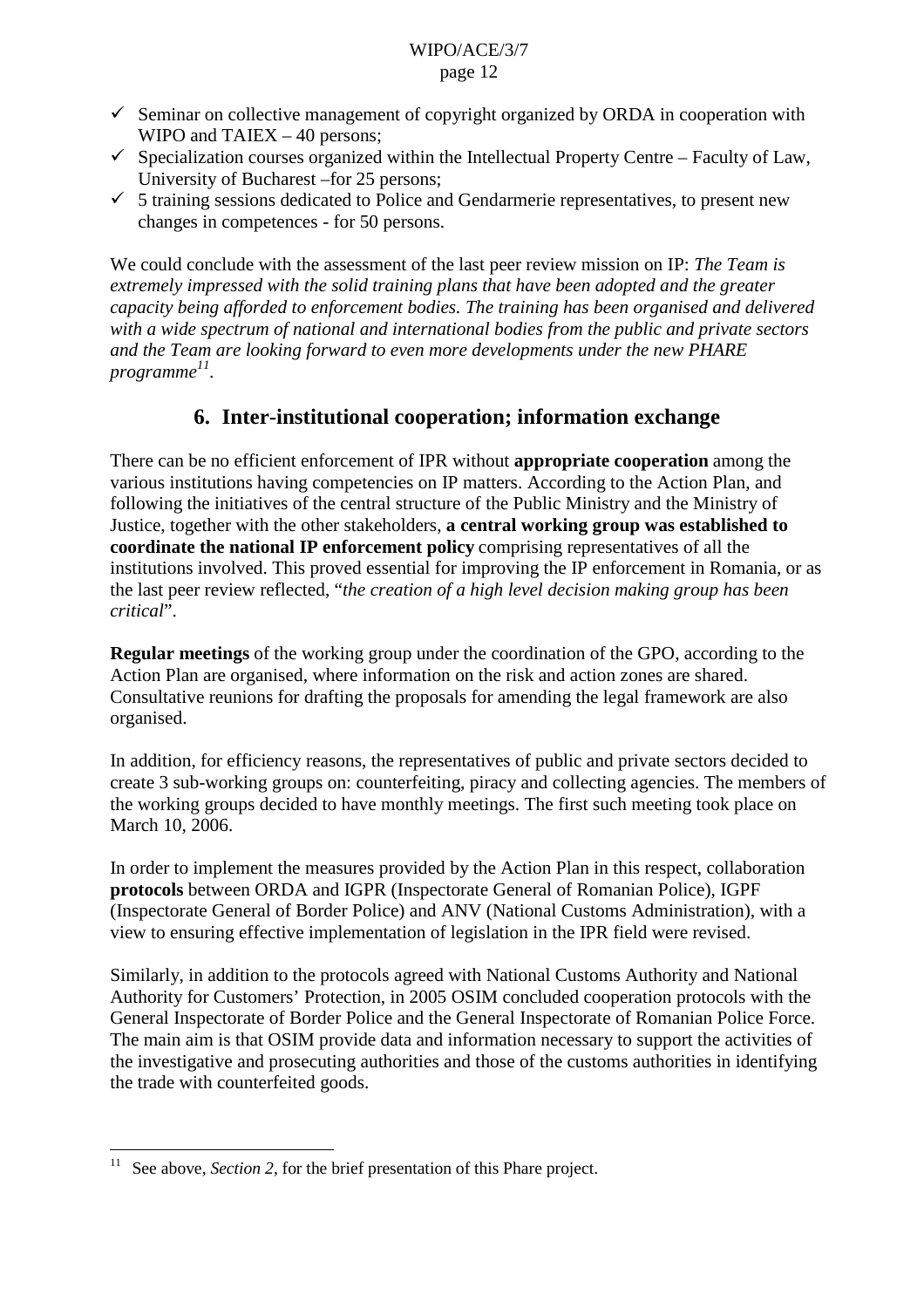- $\checkmark$  Seminar on collective management of copyright organized by ORDA in cooperation with WIPO and TAIEX – 40 persons;
- $\checkmark$  Specialization courses organized within the Intellectual Property Centre Faculty of Law, University of Bucharest –for 25 persons;
- $\checkmark$  5 training sessions dedicated to Police and Gendarmerie representatives, to present new changes in competences - for 50 persons.

We could conclude with the assessment of the last peer review mission on IP: *The Team is extremely impressed with the solid training plans that have been adopted and the greater capacity being afforded to enforcement bodies. The training has been organised and delivered with a wide spectrum of national and international bodies from the public and private sectors and the Team are looking forward to even more developments under the new PHARE programme 11.*

## **6. Inter-institutional cooperation; information exchange**

There can be no efficient enforcement of IPR without **appropriate cooperation** among the various institutions having competencies on IP matters. According to the Action Plan, and following the initiatives of the central structure of the Public Ministry and the Ministry of Justice, together with the other stakeholders, **a central working group was established to coordinate the national IP enforcement policy** comprising representatives of all the institutions involved. This proved essential for improving the IP enforcement in Romania, or as the last peer review reflected, "*the creation of a high level decision making group has been critical*".

**Regular meetings** of the working group under the coordination of the GPO, according to the Action Plan are organised, where information on the risk and action zones are shared. Consultative reunions for drafting the proposals for amending the legal framework are also organised.

In addition, for efficiency reasons, the representatives of public and private sectors decided to create 3 sub-working groups on: counterfeiting, piracy and collecting agencies. The members of the working groups decided to have monthly meetings. The first such meeting took place on March 10, 2006.

In order to implement the measures provided by the Action Plan in this respect, collaboration **protocols** between ORDA and IGPR (Inspectorate General of Romanian Police), IGPF (Inspectorate General of Border Police) and ANV (National Customs Administration), with a view to ensuring effective implementation of legislation in the IPR field were revised.

Similarly, in addition to the protocols agreed with National Customs Authority and National Authority for Customers' Protection, in 2005 OSIM concluded cooperation protocols with the General Inspectorate of Border Police and the General Inspectorate of Romanian Police Force. The main aim is that OSIM provide data and information necessary to support the activities of the investigative and prosecuting authorities and those of the customs authorities in identifying the trade with counterfeited goods.

<sup>&</sup>lt;sup>11</sup> See above, *Section 2*, for the brief presentation of this Phare project.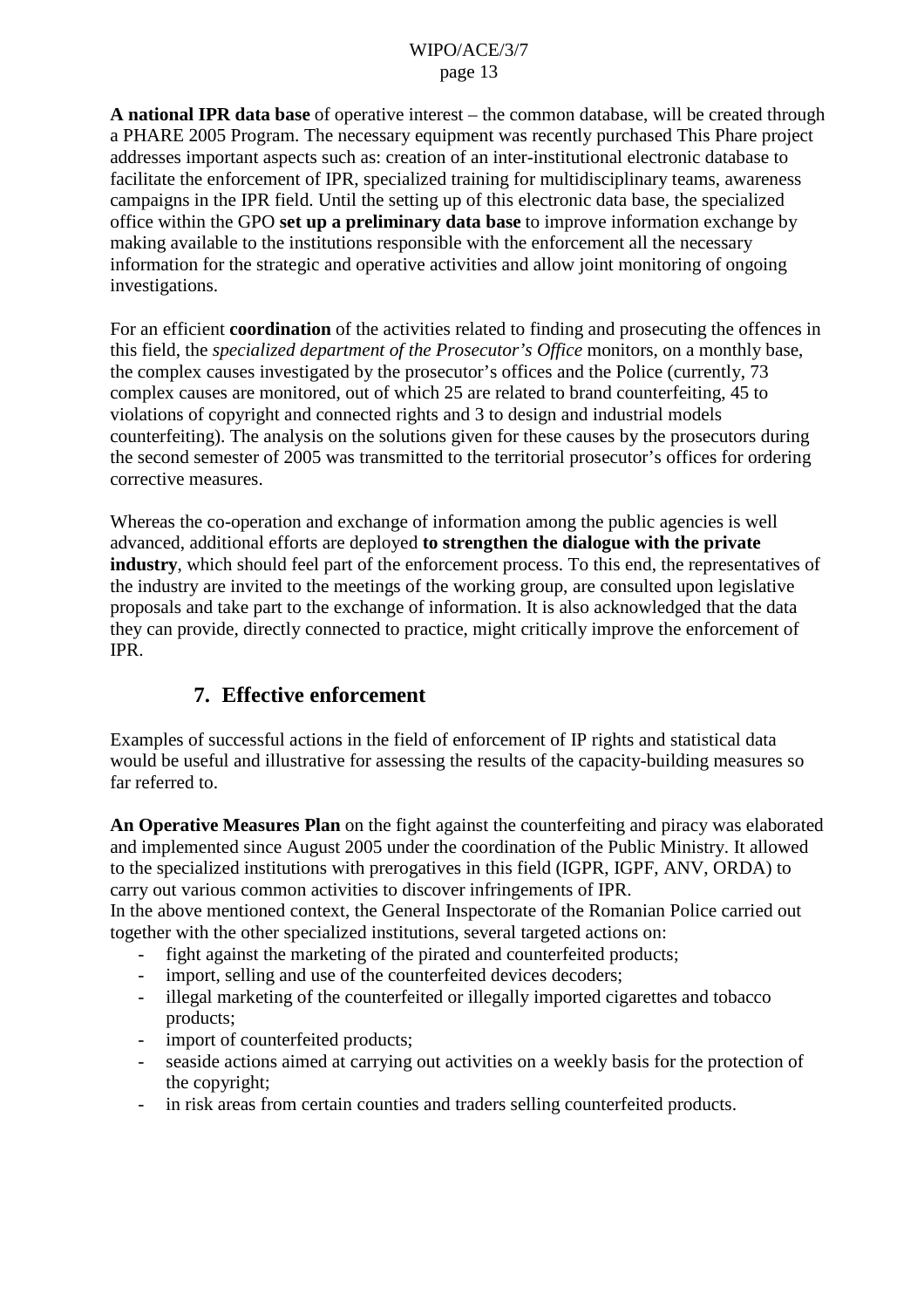**A national IPR data base** of operative interest – the common database, will be created through a PHARE 2005 Program. The necessary equipment was recently purchased This Phare project addresses important aspects such as: creation of an inter-institutional electronic database to facilitate the enforcement of IPR, specialized training for multidisciplinary teams, awareness campaigns in the IPR field. Until the setting up of this electronic data base, the specialized office within the GPO **set up a preliminary data base** to improve information exchange by making available to the institutions responsible with the enforcement all the necessary information for the strategic and operative activities and allow joint monitoring of ongoing investigations.

For an efficient **coordination** of the activities related to finding and prosecuting the offences in this field, the *specialized department of the Prosecutor's Office* monitors, on a monthly base, the complex causes investigated by the prosecutor's offices and the Police (currently, 73 complex causes are monitored, out of which 25 are related to brand counterfeiting, 45 to violations of copyright and connected rights and 3 to design and industrial models counterfeiting). The analysis on the solutions given for these causes by the prosecutors during the second semester of 2005 was transmitted to the territorial prosecutor's offices for ordering corrective measures.

Whereas the co-operation and exchange of information among the public agencies is well advanced, additional efforts are deployed **to strengthen the dialogue with the private industry**, which should feel part of the enforcement process. To this end, the representatives of the industry are invited to the meetings of the working group, are consulted upon legislative proposals and take part to the exchange of information. It is also acknowledged that the data they can provide, directly connected to practice, might critically improve the enforcement of IPR.

## **7. Effective enforcement**

Examples of successful actions in the field of enforcement of IP rights and statistical data would be useful and illustrative for assessing the results of the capacity-building measures so far referred to.

**An Operative Measures Plan** on the fight against the counterfeiting and piracy was elaborated and implemented since August 2005 under the coordination of the Public Ministry. It allowed to the specialized institutions with prerogatives in this field (IGPR, IGPF, ANV, ORDA) to carry out various common activities to discover infringements of IPR.

In the above mentioned context, the General Inspectorate of the Romanian Police carried out together with the other specialized institutions, several targeted actions on:

- fight against the marketing of the pirated and counterfeited products;
- import, selling and use of the counterfeited devices decoders;
- illegal marketing of the counterfeited or illegally imported cigarettes and tobacco products;
- import of counterfeited products;
- seaside actions aimed at carrying out activities on a weekly basis for the protection of the copyright;
- in risk areas from certain counties and traders selling counterfeited products.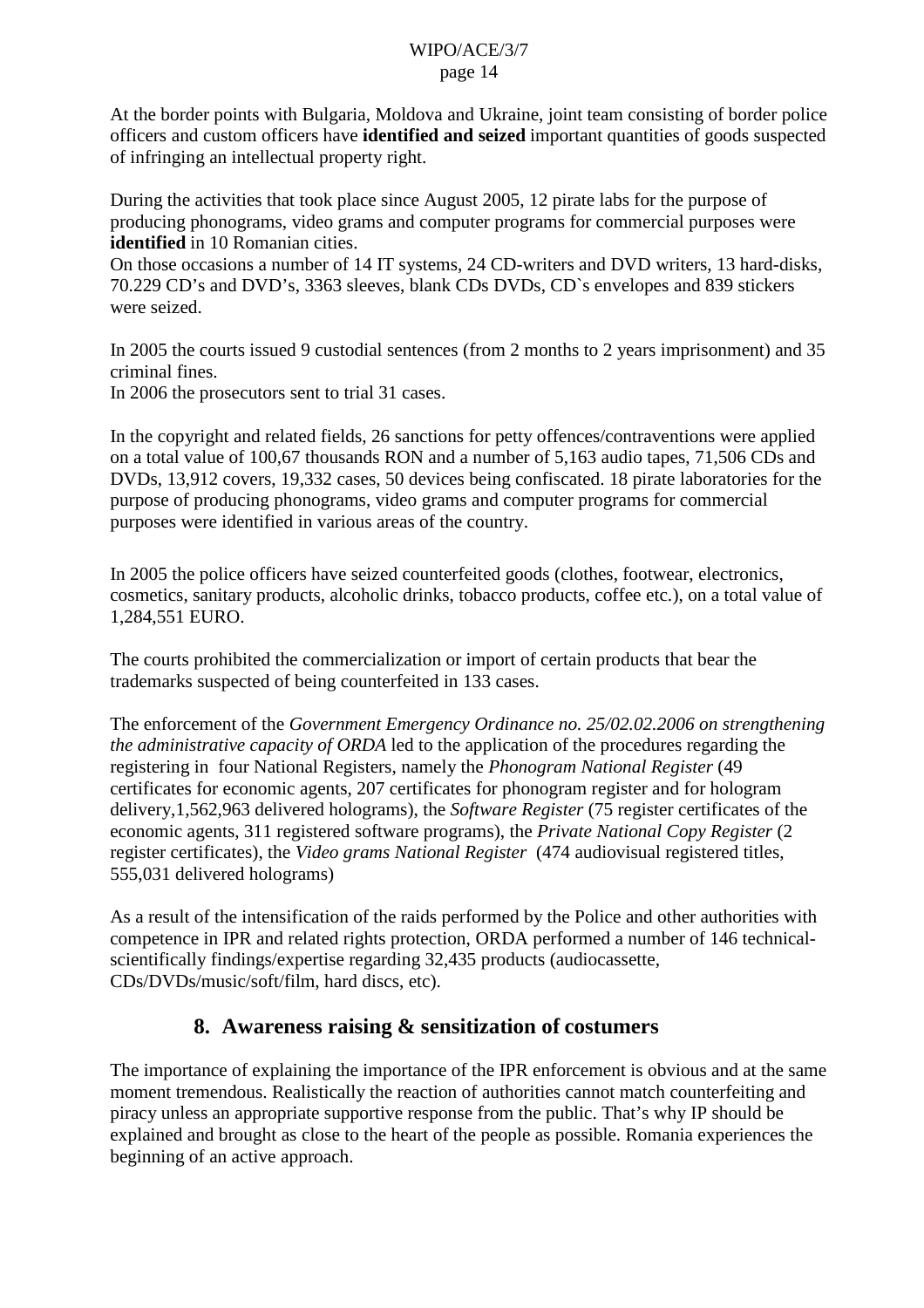At the border points with Bulgaria, Moldova and Ukraine, joint team consisting of border police officers and custom officers have **identified and seized** important quantities of goods suspected of infringing an intellectual property right.

During the activities that took place since August 2005, 12 pirate labs for the purpose of producing phonograms, video grams and computer programs for commercial purposes were **identified** in 10 Romanian cities.

On those occasions a number of 14 IT systems, 24 CD-writers and DVD writers, 13 hard-disks, 70.229 CD's and DVD's, 3363 sleeves, blank CDs DVDs, CD`s envelopes and 839 stickers were seized.

In 2005 the courts issued 9 custodial sentences (from 2 months to 2 years imprisonment) and 35 criminal fines.

In 2006 the prosecutors sent to trial 31 cases.

In the copyright and related fields, 26 sanctions for petty offences/contraventions were applied on a total value of 100,67 thousands RON and a number of 5,163 audio tapes, 71,506 CDs and DVDs, 13,912 covers, 19,332 cases, 50 devices being confiscated. 18 pirate laboratories for the purpose of producing phonograms, video grams and computer programs for commercial purposes were identified in various areas of the country.

In 2005 the police officers have seized counterfeited goods (clothes, footwear, electronics, cosmetics, sanitary products, alcoholic drinks, tobacco products, coffee etc.), on a total value of 1,284,551 EURO.

The courts prohibited the commercialization or import of certain products that bear the trademarks suspected of being counterfeited in 133 cases.

The enforcement of the *Government Emergency Ordinance no. 25/02.02.2006 on strengthening the administrative capacity of ORDA* led to the application of the procedures regarding the registering in four National Registers, namely the *Phonogram National Register* (49 certificates for economic agents, 207 certificates for phonogram register and for hologram delivery,1,562,963 delivered holograms), the *Software Register* (75 register certificates of the economic agents, 311 registered software programs), the *Private National Copy Register* (2 register certificates), the *Video grams National Register* (474 audiovisual registered titles, 555,031 delivered holograms)

As a result of the intensification of the raids performed by the Police and other authorities with competence in IPR and related rights protection, ORDA performed a number of 146 technicalscientifically findings/expertise regarding 32,435 products (audiocassette, CDs/DVDs/music/soft/film, hard discs, etc).

## **8. Awareness raising & sensitization of costumers**

The importance of explaining the importance of the IPR enforcement is obvious and at the same moment tremendous. Realistically the reaction of authorities cannot match counterfeiting and piracy unless an appropriate supportive response from the public. That's why IP should be explained and brought as close to the heart of the people as possible. Romania experiences the beginning of an active approach.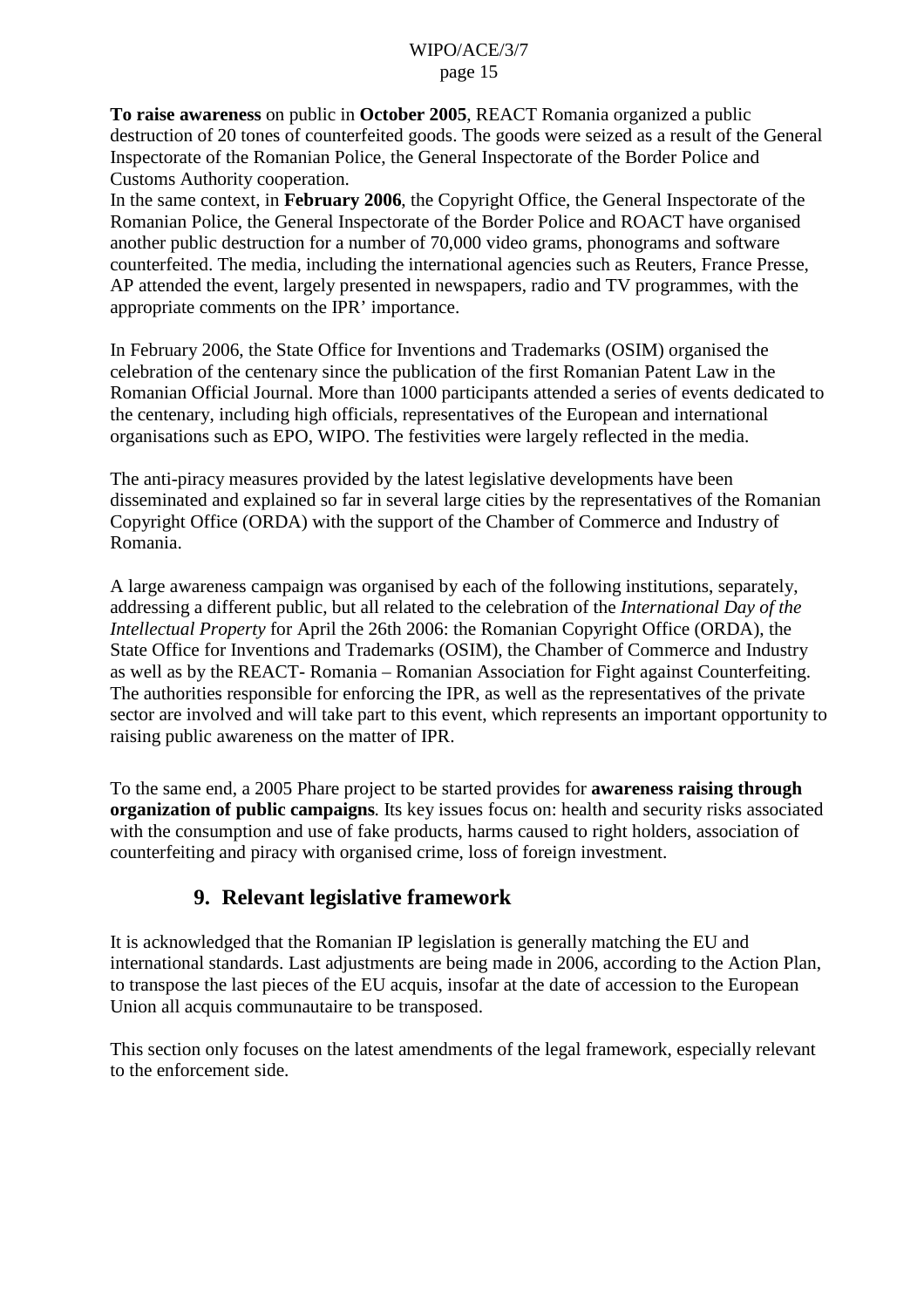**To raise awareness** on public in **October 2005**, REACT Romania organized a public destruction of 20 tones of counterfeited goods. The goods were seized as a result of the General Inspectorate of the Romanian Police, the General Inspectorate of the Border Police and Customs Authority cooperation.

In the same context, in **February 2006**, the Copyright Office, the General Inspectorate of the Romanian Police, the General Inspectorate of the Border Police and ROACT have organised another public destruction for a number of 70,000 video grams, phonograms and software counterfeited. The media, including the international agencies such as Reuters, France Presse, AP attended the event, largely presented in newspapers, radio and TV programmes, with the appropriate comments on the IPR' importance.

In February 2006, the State Office for Inventions and Trademarks (OSIM) organised the celebration of the centenary since the publication of the first Romanian Patent Law in the Romanian Official Journal. More than 1000 participants attended a series of events dedicated to the centenary, including high officials, representatives of the European and international organisations such as EPO, WIPO. The festivities were largely reflected in the media.

The anti-piracy measures provided by the latest legislative developments have been disseminated and explained so far in several large cities by the representatives of the Romanian Copyright Office (ORDA) with the support of the Chamber of Commerce and Industry of Romania.

A large awareness campaign was organised by each of the following institutions, separately, addressing a different public, but all related to the celebration of the *International Day of the Intellectual Property* for April the 26th 2006: the Romanian Copyright Office (ORDA), the State Office for Inventions and Trademarks (OSIM), the Chamber of Commerce and Industry as well as by the REACT- Romania – Romanian Association for Fight against Counterfeiting. The authorities responsible for enforcing the IPR, as well as the representatives of the private sector are involved and will take part to this event, which represents an important opportunity to raising public awareness on the matter of IPR.

To the same end, a 2005 Phare project to be started provides for **awareness raising through organization of public campaigns**. Its key issues focus on: health and security risks associated with the consumption and use of fake products, harms caused to right holders, association of counterfeiting and piracy with organised crime, loss of foreign investment.

## **9. Relevant legislative framework**

It is acknowledged that the Romanian IP legislation is generally matching the EU and international standards. Last adjustments are being made in 2006, according to the Action Plan, to transpose the last pieces of the EU acquis, insofar at the date of accession to the European Union all acquis communautaire to be transposed.

This section only focuses on the latest amendments of the legal framework, especially relevant to the enforcement side.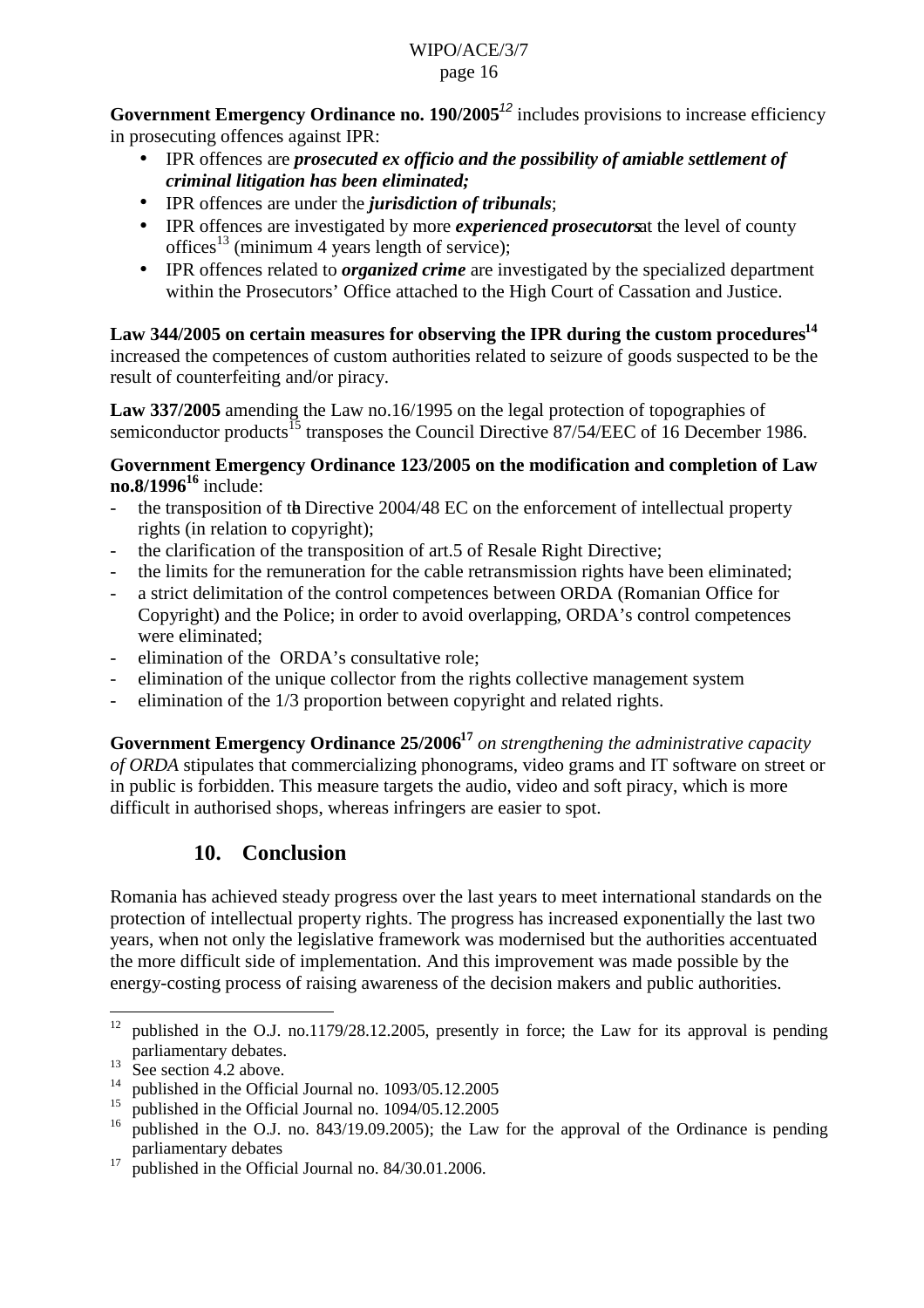**Government Emergency Ordinance no. 190/2005<sup>12</sup> includes provisions to increase efficiency** in prosecuting offences against IPR:

- IPR offences are *prosecuted ex officio and the possibility of amiable settlement of criminal litigation has been eliminated;*
- IPR offences are under the *jurisdiction of tribunals*;
- IPR offences are investigated by more *experienced prosecutors* at the level of county offices<sup>13</sup> (minimum 4 years length of service);
- IPR offences related to *organized crime* are investigated by the specialized department within the Prosecutors' Office attached to the High Court of Cassation and Justice.

Law 344/2005 on certain measures for observing the IPR during the custom procedures<sup>14</sup> increased the competences of custom authorities related to seizure of goods suspected to be the result of counterfeiting and/or piracy.

**Law 337/2005** amending the Law no.16/1995 on the legal protection of topographies of semiconductor products<sup>15</sup> transposes the Council Directive  $87/54/EEC$  of 16 December 1986.

#### **Government Emergency Ordinance 123/2005 on the modification and completion of Law no.8/1996<sup>16</sup>** include:

- the transposition of the Directive 2004/48 EC on the enforcement of intellectual property rights (in relation to copyright);
- the clarification of the transposition of art.5 of Resale Right Directive;
- the limits for the remuneration for the cable retransmission rights have been eliminated;
- a strict delimitation of the control competences between ORDA (Romanian Office for Copyright) and the Police; in order to avoid overlapping, ORDA's control competences were eliminated;
- elimination of the ORDA's consultative role:
- elimination of the unique collector from the rights collective management system
- elimination of the  $1/3$  proportion between copyright and related rights.

Government Emergency Ordinance 25/2006<sup>17</sup> on strengthening the administrative capacity *of ORDA* stipulates that commercializing phonograms, video grams and IT software on street or in public is forbidden. This measure targets the audio, video and soft piracy, which is more difficult in authorised shops, whereas infringers are easier to spot.

## **10. Conclusion**

Romania has achieved steady progress over the last years to meet international standards on the protection of intellectual property rights. The progress has increased exponentially the last two years, when not only the legislative framework was modernised but the authorities accentuated the more difficult side of implementation. And this improvement was made possible by the energy-costing process of raising awareness of the decision makers and public authorities.

<sup>&</sup>lt;sup>12</sup> published in the O.J. no.1179/28.12.2005, presently in force; the Law for its approval is pending parliamentary debates.

 $13$  See section 4.2 above.

<sup>&</sup>lt;sup>14</sup> published in the Official Journal no.  $1093/05.12.2005$ <br><sup>15</sup> published in the Official Journal no.  $1004/05.12.2005$ 

<sup>&</sup>lt;sup>15</sup> published in the Official Journal no.  $1094/05.12.2005$ <br><sup>16</sup> published in the O.L. no.  $842/10.00$ ,  $2005$ ), the Law

published in the O.J. no. 843/19.09.2005); the Law for the approval of the Ordinance is pending parliamentary debates

<sup>&</sup>lt;sup>17</sup> published in the Official Journal no.  $84/30.01.2006$ .